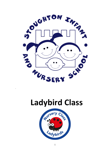

# **Ladybird Class**

.

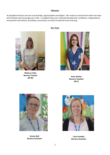#### **Welcome**

At Stoughton Nursery we aim to be friendly, approachable and helpful. We create an environment which we hope will stimulate and encourage your child. In Ladybird Class your child will develop their confidence, independence and positive self-esteem, providing a sound basis on which to build all future learning.



**Rebecca Coles Nursery Teacher**

**Our Team**



**(M-W) Susie Hanlan Nursery Teacher) (W-F)**



**Emma Holt Nursery Assistant**



**Lissa Loveday Nursery Assistant**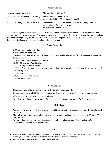#### **Nursery Sessions**

| Full time children (30 hours):        | Monday - Friday 8.50-2.50                                                                                                                   |
|---------------------------------------|---------------------------------------------------------------------------------------------------------------------------------------------|
| Monday-Wednesday children (15 hours): | Monday and Tuesday 8.50-2.50<br>Wednesday 8.50-11.50 (go home for lunch)                                                                    |
| Wednesday-Friday children (15 hours): | Wednesday 11.50-2.50 (children need to have an early lunch on<br>Wednesdays before they arrive at nursery)<br>Thursday and Friday 8.50-2.50 |

Each child is assigned to a Key Person who will work alongside them to make them feel secure, extend their own learning experiences and be aware of the next steps in their development. This person is responsible for maintaining the child's online profiling system (Tapestry). Parents are encouraged to share any concerns or achievements with their child's Key Person or any other member of the nursery team.

## **Typical Nursery Day**

- 8.50 Open door and registration
- 9.15 Carpet time-daily input
- 9.30 Free flow inside and outside (within this time there will be an adult led focus activity and group times)
- $\bullet$  11.25 Tidy up
- 11.30 Carpet time/getting ready for lunch
- 12.00-1.00 lunchtime/outside play
- 1.00-1.15 Register and Story time
- 1.20 Free flow inside and outside (within this time there will be an adult led focus activity and group times)
- 2.10 Tidy up time
- 2.20 Carpet time
- 2.40 Get ready for home time
- 2.50 Nursery finishes

## **Drink/Snack Time**

- Please could your child bring a named water bottle into nursery each day.
- Milk and water are available inside and outside for children to help themselves to throughout the day.
- Children can also help themselves to a fruit snack.
- We ask for fruit donations once a week for part time children and twice a week for full time children.

#### **COIN – Bees**

- We have a pre-school speech and language unit at Stoughton catering for seven children with specific needs in this area.
- They join us for part of our morning session at nursery for approximately one hour per day (10.00-11.00) and also for P.E.
- We often share resources with the Language Unit and share planning ideas. Bees also join us for our Christmas concert and other celebrations.

## **Clothing**

- Uniform-children need to wear a red nursery polo shirt and a school jumper. Please see our [school website](https://www.stoughton.surrey.sch.uk/school-uniform) where you will find a link to Stevensons School Uniform Outfitters in Burpham.
- Comfortable clothes that your children can move freely in.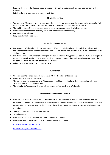- Sensible shoes (not flip flops or crocs) preferably with Velcro fastenings. They may wear sandals in the summer.
- Suitable clothing for messy and outdoor activities.

# **Physical Education**

- We have one PE session a week in the main school hall for our part time children and twice a week for full time children. This will start after the autumn half term once the children have settled in.
- The children take off their shoes and socks and are encouraged to do this independently.
- Please send them in shoes that they can put on and take off independently.
- Earrings are not allowed.
- Long hair should be tied back.

# **Wednesday Change-over Day**

- For Monday Wednesday children, pick up at 11:50am on a Wednesday will be as follows: please wait on the grassy area near the main nursery gate. The children will be dismissed from the middle doors under the sheltered area.
- For Wednesday Friday children arriving on Wednesday at 11:50am, please wait on the nursery racing track as usual. They will need to have an early lunch at home on this day. They will then play in one half of the nursery whilst the full-time children have their lunch.
- Full- time children will stay at nursery as usual.

# **Lunchtimes**

- Children need to bring a packed lunch in (**NO NUTS**, chocolate or fizzy drinks).
- Lunch will take place in the nursery.
- The part-time children coming in on Wednesday at 11:50am need to have their lunch at home before arriving at nursery on a Wednesday.
- The Monday to Wednesday children will be leaving before lunch on a Wednesday.

## **How we communicate with parents**

- ParentMail is used for most of our correspondence, forms and newsletters. You will receive a registration email within the first two weeks of term. Please note all payments should be made through ParentMail. We cannot take any cash payments in the nursery. If you do not receive your registration email please contact the office.
- Tapestry is a secure online learning journey
- School website
- Parents Evenings (this has been via Zoom this year) and reports
- Please feel free to email any concerns or enquiries you may have to:

[rcoles@stoughton.surrey.sch.uk](mailto:rcoles@stoughton.surrey.sch.uk)

[shanlan@stoughton.surrey.sch.uk](mailto:shanlan@stoughton.surrey.sch.uk)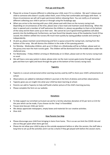# **Pick ups and Drop offs**

- Please let us know if anyone different is collecting your child, even if it is a relative. We won't release your child to someone who doesn't usually collect them, even if they feel comfortable and happy with them. In these circumstances we will call to gain permission before releasing them. You can notify us of someone different collecting your child in person or through using the Studybugs app.
- When you arrive in the morning with your child, please wait with them on the nursery racing track. Depending on circumstances at the time, please wear a face mask and maintain social distancing. When the door is opened and a member of staff welcomes the children in, please say goodbye to them at the bottom of the ramp and let them come up on their own. We cannot be sure if government guidelines will allow parents into the building and, furthermore, we have found that despite many of the headaches Covid-19 has caused, the children settled into nursery life much more quickly by saying goodbye outside and coming in independently.
- At pick up, please maintain social distancing and form a queue around the racing track, starting from the bottom of the ramp. We will dismiss the children in the order of the queuing parents.
- For Monday Wednesday children, pick up at 11:50am on a Wednesday will be as follows: please wait on the grassy area near the main nursery gate. The children will be dismissed from the middle doors under the sheltered area.
- For Wednesday Friday children arriving on Wednesday at 11:50am, please wait on the nursery racing track as usual.
- We will have a one-way system in place; please enter via the main nursery gate (come through the school gate and then turn right) and leave through the gate at the bottom of the nursery racing track.

## **Tapestry**

- Tapestry is a secure and personal online Learning Journey used by staff to share your child's achievements at school.
- Observations are added to individual children's journals in the form of photos and written observations.
- Tapestry gives you an insight into what your child has been learning at school.
- Parents can add to Tapestry to help staff build a better picture of the child's learning journey.
- Please complete the form on our website.

## **Donations**

- To help support our enriched curriculum we ask for a termly voluntary donation of £5 per term or £15 for the year which can be made, if you choose via the 'shop' in ParentMail.
- Tissues (one box per child, per term)
- We always appreciate newspapers, empty boxes and materials for our creative activities.
- Glue stick

## **How Parents Can Help**

- Please discourage your child from bringing in items from home. This is so we can limit the COVID risk and also so they get upset when items get lost.
- Please do not allow your child to play on the outside equipment before or after the session; the staff take a long time to set up all the activities and it can be a shame if they get played with before the session starts.